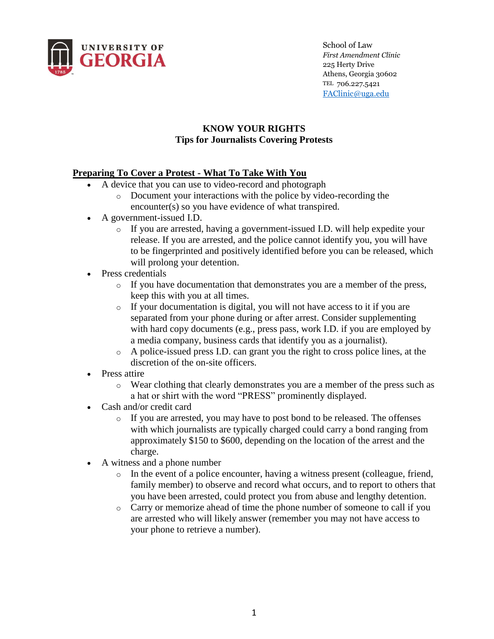

School of Law *First Amendment Clinic*  225 Herty Drive Athens, Georgia 30602 TEL 706.227.5421 [FAClinic@uga.edu](mailto:FAClinic@uga.edu)

### **KNOW YOUR RIGHTS Tips for Journalists Covering Protests**

## **Preparing To Cover a Protest - What To Take With You**

- A device that you can use to video-record and photograph
	- o Document your interactions with the police by video-recording the encounter(s) so you have evidence of what transpired.
- A government-issued I.D.
	- o If you are arrested, having a government-issued I.D. will help expedite your release. If you are arrested, and the police cannot identify you, you will have to be fingerprinted and positively identified before you can be released, which will prolong your detention.
- Press credentials
	- o If you have documentation that demonstrates you are a member of the press, keep this with you at all times.
	- o If your documentation is digital, you will not have access to it if you are separated from your phone during or after arrest. Consider supplementing with hard copy documents (e.g., press pass, work I.D. if you are employed by a media company, business cards that identify you as a journalist).
	- o A police-issued press I.D. can grant you the right to cross police lines, at the discretion of the on-site officers.
- Press attire
	- o Wear clothing that clearly demonstrates you are a member of the press such as a hat or shirt with the word "PRESS" prominently displayed.
- Cash and/or credit card
	- o If you are arrested, you may have to post bond to be released. The offenses with which journalists are typically charged could carry a bond ranging from approximately \$150 to \$600, depending on the location of the arrest and the charge.
- A witness and a phone number
	- $\circ$  In the event of a police encounter, having a witness present (colleague, friend, family member) to observe and record what occurs, and to report to others that you have been arrested, could protect you from abuse and lengthy detention.
	- o Carry or memorize ahead of time the phone number of someone to call if you are arrested who will likely answer (remember you may not have access to your phone to retrieve a number).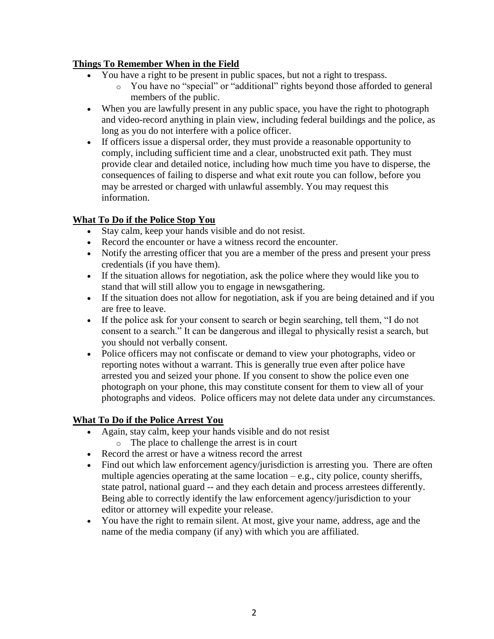## **Things To Remember When in the Field**

- You have a right to be present in public spaces, but not a right to trespass.
	- o You have no "special" or "additional" rights beyond those afforded to general members of the public.
- When you are lawfully present in any public space, you have the right to photograph and video-record anything in plain view, including federal buildings and the police, as long as you do not interfere with a police officer.
- If officers issue a dispersal order, they must provide a reasonable opportunity to comply, including sufficient time and a clear, unobstructed exit path. They must provide clear and detailed notice, including how much time you have to disperse, the consequences of failing to disperse and what exit route you can follow, before you may be arrested or charged with unlawful assembly. You may request this information.

# **What To Do if the Police Stop You**

- Stay calm, keep your hands visible and do not resist.
- Record the encounter or have a witness record the encounter.
- Notify the arresting officer that you are a member of the press and present your press credentials (if you have them).
- If the situation allows for negotiation, ask the police where they would like you to stand that will still allow you to engage in newsgathering.
- If the situation does not allow for negotiation, ask if you are being detained and if you are free to leave.
- If the police ask for your consent to search or begin searching, tell them, "I do not consent to a search." It can be dangerous and illegal to physically resist a search, but you should not verbally consent.
- Police officers may not confiscate or demand to view your photographs, video or reporting notes without a warrant. This is generally true even after police have arrested you and seized your phone. If you consent to show the police even one photograph on your phone, this may constitute consent for them to view all of your photographs and videos. Police officers may not delete data under any circumstances.

### **What To Do if the Police Arrest You**

- Again, stay calm, keep your hands visible and do not resist
	- o The place to challenge the arrest is in court
- Record the arrest or have a witness record the arrest
- Find out which law enforcement agency/jurisdiction is arresting you. There are often multiple agencies operating at the same location  $-e.g.,$  city police, county sheriffs, state patrol, national guard -- and they each detain and process arrestees differently. Being able to correctly identify the law enforcement agency/jurisdiction to your editor or attorney will expedite your release.
- You have the right to remain silent. At most, give your name, address, age and the name of the media company (if any) with which you are affiliated.